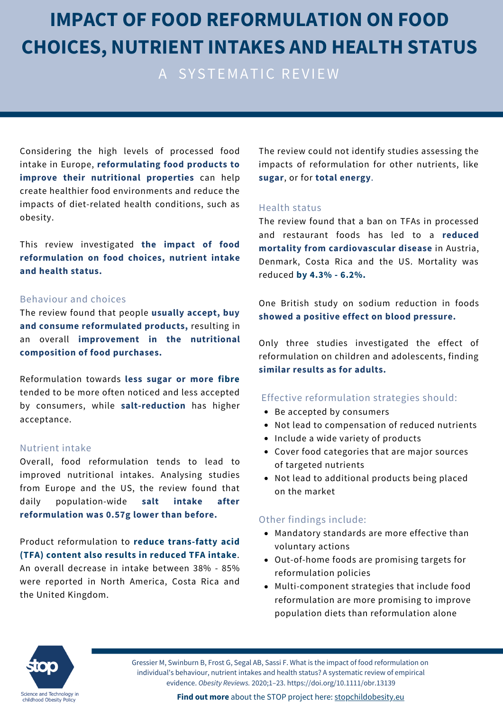# **IMPACT OF FOOD REFORMULATION ON FOOD CHOICES, NUTRIENT INTAKES AND HEALTH STATUS**

A SYSTEMATIC REVIEW

Considering the high levels of processed food intake in Europe, **reformulating food products to improve their nutritional properties** can help create healthier food environments and reduce the impacts of diet-related health conditions, such as obesity.

This review investigated **the impact of food reformulation on food choices, nutrient intake and health status.**

#### Behaviour and choices

The review found that people **usually accept, buy and consume reformulated products,** resulting in an overall **improvement in the nutritional composition of food purchases.**

Reformulation towards **less sugar or more fibre** tended to be more often noticed and less accepted by consumers, while **salt-reduction** has higher acceptance.

#### Nutrient intake

Overall, food reformulation tends to lead to improved nutritional intakes. Analysing studies from Europe and the US, the review found that daily population-wide **salt intake after reformulation was 0.57g lower than before.**

Product reformulation to **reduce trans-fatty acid (TFA) content also results in reduced TFA intake**. An overall decrease in intake between 38% - 85% were reported in North America, Costa Rica and the United Kingdom.

The review could not identify studies assessing the impacts of reformulation for other nutrients, like **sugar**, or for **total energy**.

#### Health status

The review found that a ban on TFAs in processed and restaurant foods has led to a **reduced mortality from cardiovascular disease** in Austria, Denmark, Costa Rica and the US. Mortality was reduced **by 4.3% - 6.2%.**

One British study on sodium reduction in foods **showed a positive effect on blood pressure.**

Only three studies investigated the effect of reformulation on children and adolescents, finding **similar results as for adults.**

#### Effective reformulation strategies should:

- Be accepted by consumers
- Not lead to compensation of reduced nutrients
- Include a wide variety of products
- Cover food categories that are major sources of targeted nutrients
- Not lead to additional products being placed on the market

#### Other findings include:

- Mandatory standards are more effective than voluntary actions
- Out-of-home foods are promising targets for reformulation policies
- Multi-component strategies that include food reformulation are more promising to improve population diets than reformulation alone



Gressier M, Swinburn B, Frost G, Segal AB, Sassi F. What is the impact of food reformulation on individual's behaviour, nutrient intakes and health status? A systematic review of empirical evidence. *Obesity Reviews.* 2020;1–23. https://doi.org/10.1111/obr.13139

**Find out more** about the STOP project here: [stopchildobesity.eu](http://www.stopchildobesity.eu/)